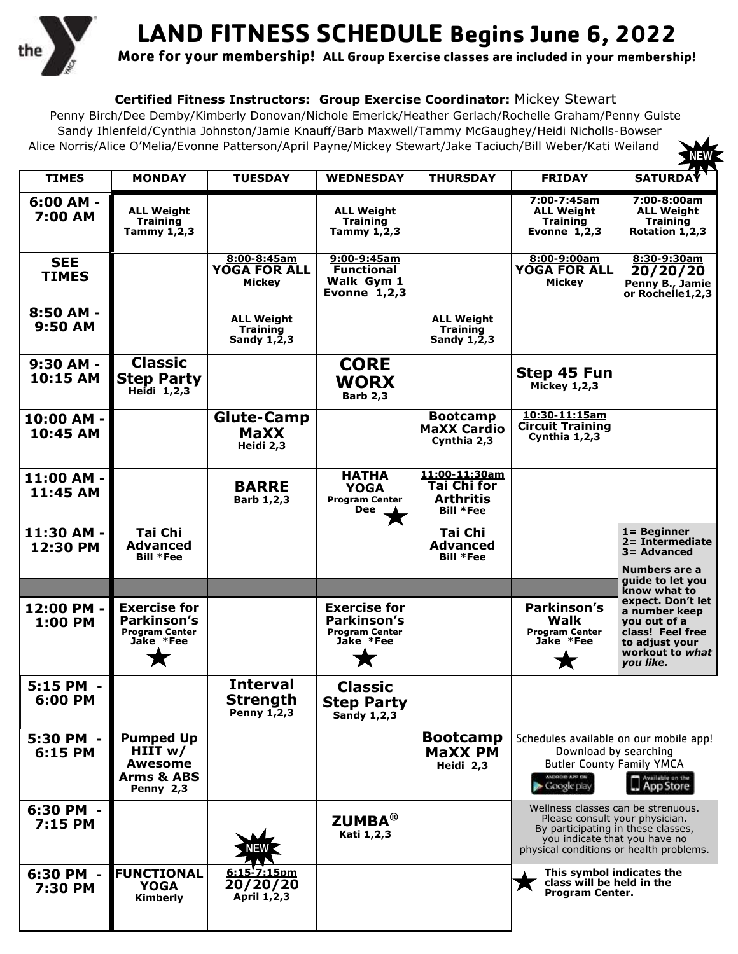

## **LAND FITNESS SCHEDULE Begins June 6, 2022**

**More for your membership! ALL Group Exercise classes are included in your membership!**

**NEW**

## **Certified Fitness Instructors: Group Exercise Coordinator:** Mickey Stewart

Penny Birch/Dee Demby/Kimberly Donovan/Nichole Emerick/Heather Gerlach/Rochelle Graham/Penny Guiste Sandy Ihlenfeld/Cynthia Johnston/Jamie Knauff/Barb Maxwell/Tammy McGaughey/Heidi Nicholls-Bowser Alice Norris/Alice O'Melia/Evonne Patterson/April Payne/Mickey Stewart/Jake Taciuch/Bill Weber/Kati Weiland

| <b>TIMES</b>               | <b>MONDAY</b>                                                                  | <b>TUESDAY</b>                                                   | <b>WEDNESDAY</b>                                                         | <b>THURSDAY</b>                                                             | <b>FRIDAY</b>                                                                                                                                                                          | <b>SATURDAY</b>                                                                                                          |
|----------------------------|--------------------------------------------------------------------------------|------------------------------------------------------------------|--------------------------------------------------------------------------|-----------------------------------------------------------------------------|----------------------------------------------------------------------------------------------------------------------------------------------------------------------------------------|--------------------------------------------------------------------------------------------------------------------------|
| $6:00$ AM $-$<br>7:00 AM   | <b>ALL Weight</b><br><b>Training</b><br>Tammy $1, 2, 3$                        |                                                                  | <b>ALL Weight</b><br><b>Training</b><br>Tammy $1, 2, 3$                  |                                                                             | 7:00-7:45am<br><b>ALL Weight</b><br><b>Training</b><br>Evonne $1,2,3$                                                                                                                  | 7:00-8:00am<br><b>ALL Weight</b><br><b>Training</b><br>Rotation 1, 2, 3                                                  |
| <b>SEE</b><br><b>TIMES</b> |                                                                                | 8:00-8:45am<br><b>YOGA FOR ALL</b><br><b>Mickey</b>              | 9:00-9:45am<br><b>Functional</b><br>Walk Gym 1<br>Evonne $1,2,3$         |                                                                             | 8:00-9:00am<br><b>YOGA FOR ALL</b><br><b>Mickey</b>                                                                                                                                    | 8:30-9:30am<br>20/20/20<br>Penny B., Jamie<br>or Rochelle1,2,3                                                           |
| 8:50 AM -<br>9:50 AM       |                                                                                | <b>ALL Weight</b><br><b>Training</b><br>Sandy $1,\overline{2},3$ |                                                                          | <b>ALL Weight</b><br><b>Training</b><br>Sandy $1,\overline{2},3$            |                                                                                                                                                                                        |                                                                                                                          |
| 9:30 AM -<br>10:15 AM      | <b>Classic</b><br><b>Step Party</b><br>Heidi 1,2,3                             |                                                                  | <b>CORE</b><br><b>WORX</b><br><b>Barb 2,3</b>                            |                                                                             | Step 45 Fun<br><b>Mickey 1,2,3</b>                                                                                                                                                     |                                                                                                                          |
| 10:00 AM -<br>10:45 AM     |                                                                                | <b>Glute-Camp</b><br><b>MaXX</b><br>Heidi 2,3                    |                                                                          | <b>Bootcamp</b><br><b>MaXX Cardio</b><br>Cynthia 2,3                        | 10:30-11:15am<br><b>Circuit Training</b><br>Cynthia 1,2,3                                                                                                                              |                                                                                                                          |
| 11:00 AM -<br>11:45 AM     |                                                                                | <b>BARRE</b><br>Barb 1, 2, 3                                     | <b>HATHA</b><br><b>YOGA</b><br><b>Program Center</b><br>Dee              | 11:00-11:30am<br><b>Tai Chi for</b><br><b>Arthritis</b><br><b>Bill *Fee</b> |                                                                                                                                                                                        |                                                                                                                          |
| 11:30 AM<br>12:30 PM       | Tai Chi<br><b>Advanced</b><br><b>Bill *Fee</b>                                 |                                                                  |                                                                          | <b>Tai Chi</b><br><b>Advanced</b><br><b>Bill *Fee</b>                       |                                                                                                                                                                                        | $1 =$ Beginner<br>2= Intermediate<br>$3 =$ Advanced<br>Numbers are a                                                     |
|                            |                                                                                |                                                                  |                                                                          |                                                                             |                                                                                                                                                                                        | quide to let you<br>know what to                                                                                         |
| 12:00 PM -<br>1:00 PM      | <b>Exercise for</b><br>Parkinson's<br><b>Program Center</b><br>Jake *Fee       |                                                                  | <b>Exercise for</b><br>Parkinson's<br><b>Program Center</b><br>Jake *Fee |                                                                             | Parkinson's<br>Walk<br><b>Program Center</b><br>Jake *Fee                                                                                                                              | expect. Don't let<br>a number keep<br>you out of a<br>class! Feel free<br>to adjust your<br>workout to what<br>you like. |
| 5:15 PM<br>6:00 PM         |                                                                                | <b>Interval</b><br><b>Strength</b><br>Penny 1,2,3                | <b>Classic</b><br><b>Step Party</b><br><b>Sandy 1,2,3</b>                |                                                                             |                                                                                                                                                                                        |                                                                                                                          |
| 5:30 PM<br>6:15 PM         | <b>Pumped Up</b><br>HIIT $w/$<br>Awesome<br><b>Arms &amp; ABS</b><br>Penny 2,3 |                                                                  |                                                                          | <b>Bootcamp</b><br><b>MaXX PM</b><br>Heidi 2,3                              | Schedules available on our mobile app!<br>Download by searching<br><b>Butler County Family YMCA</b><br>ANDROID APP ON<br>Google play                                                   | Available on the                                                                                                         |
| 6:30 PM -<br>7:15 PM       |                                                                                |                                                                  | <b>ZUMBA®</b><br>Kati 1,2,3                                              |                                                                             | Wellness classes can be strenuous.<br>Please consult your physician.<br>By participating in these classes,<br>you indicate that you have no<br>physical conditions or health problems. |                                                                                                                          |
| 6:30 PM<br>7:30 PM         | <b>FUNCTIONAL</b><br><b>YOGA</b><br>Kimberly                                   | $6:15'$ 7:15pm<br>20/20/20<br>April 1, 2, 3                      |                                                                          |                                                                             | This symbol indicates the<br>class will be held in the<br>Program Center.                                                                                                              |                                                                                                                          |